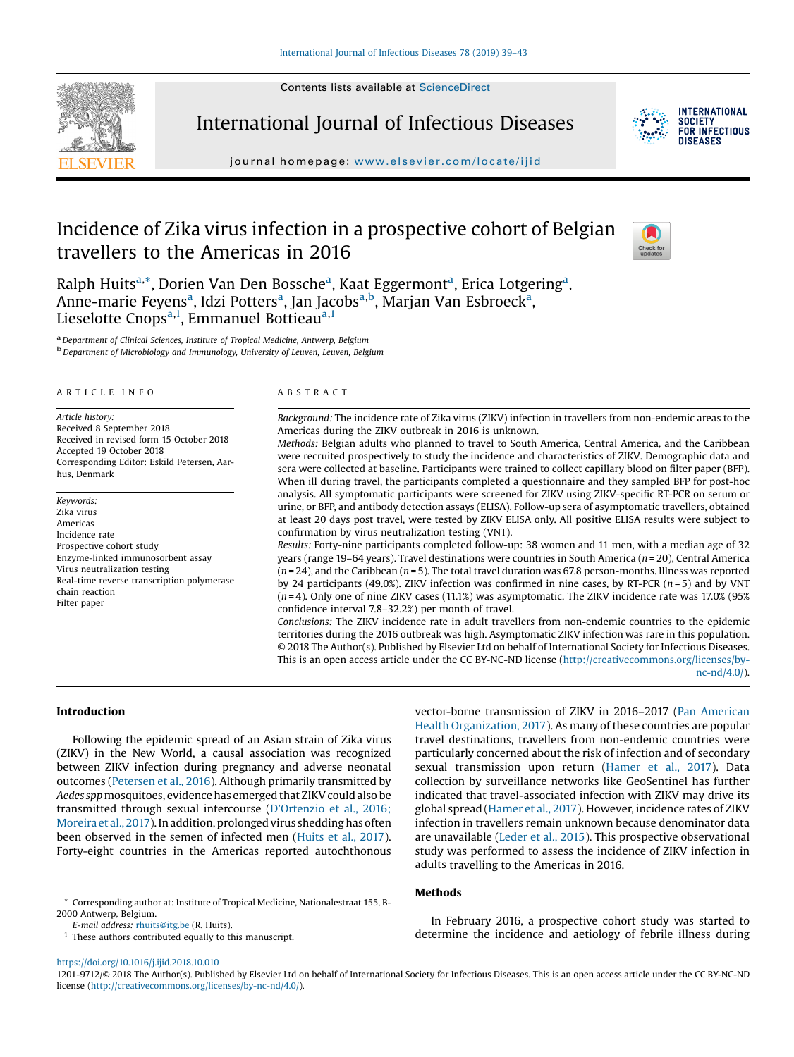Contents lists available at [ScienceDirect](http://www.sciencedirect.com/science/journal/12019712)



International Journal of Infectious Diseases



**INTERNATIONAL SOCIETY** FOR INFECTIOUS **DISFASES** 

journal homepage: <www.elsevier.com/locate/ijid>

# Incidence of Zika virus infection in a prospective cohort of Belgian travellers to the Americas in 2016



Ralph Huits<sup>a,\*</sup>, Dorien Van Den Bossche<sup>a</sup>, Kaat Eggermont<sup>a</sup>, Erica Lotgering<sup>a</sup>, Anne-marie Feyens<sup>a</sup>, Idzi Potters<sup>a</sup>, Jan Jacobs<sup>a,b</sup>, Marjan Van Esbroeck<sup>a</sup>, Lieselotte Cnops<sup>a,1</sup>, Emmanuel Bottieau<sup>a,1</sup>

<sup>a</sup> Department of Clinical Sciences, Institute of Tropical Medicine, Antwerp, Belgium b<br><sup>b</sup> Department of Microbiology and Immunology, University of Leuven, Leuven, Belgium

#### ARTICLE INFO

Article history: Received 8 September 2018 Received in revised form 15 October 2018 Accepted 19 October 2018 Corresponding Editor: Eskild Petersen, Aarhus, Denmark

Keywords: Zika virus Americas Incidence rate Prospective cohort study Enzyme-linked immunosorbent assay Virus neutralization testing Real-time reverse transcription polymerase chain reaction Filter paper

## A B S T R A C T

Background: The incidence rate of Zika virus (ZIKV) infection in travellers from non-endemic areas to the Americas during the ZIKV outbreak in 2016 is unknown.

Methods: Belgian adults who planned to travel to South America, Central America, and the Caribbean were recruited prospectively to study the incidence and characteristics of ZIKV. Demographic data and sera were collected at baseline. Participants were trained to collect capillary blood on filter paper (BFP). When ill during travel, the participants completed a questionnaire and they sampled BFP for post-hoc analysis. All symptomatic participants were screened for ZIKV using ZIKV-specific RT-PCR on serum or urine, or BFP, and antibody detection assays (ELISA). Follow-up sera of asymptomatic travellers, obtained at least 20 days post travel, were tested by ZIKV ELISA only. All positive ELISA results were subject to confirmation by virus neutralization testing (VNT).

Results: Forty-nine participants completed follow-up: 38 women and 11 men, with a median age of 32 years (range 19–64 years). Travel destinations were countries in South America ( $n = 20$ ), Central America  $(n=24)$ , and the Caribbean  $(n=5)$ . The total travel duration was 67.8 person-months. Illness was reported by 24 participants (49.0%). ZIKV infection was confirmed in nine cases, by RT-PCR ( $n=5$ ) and by VNT  $(n=4)$ . Only one of nine ZIKV cases (11.1%) was asymptomatic. The ZIKV incidence rate was 17.0% (95%) confidence interval 7.8–32.2%) per month of travel.

Conclusions: The ZIKV incidence rate in adult travellers from non-endemic countries to the epidemic territories during the 2016 outbreak was high. Asymptomatic ZIKV infection was rare in this population. © 2018 The Author(s). Published by Elsevier Ltd on behalf of International Society for Infectious Diseases. This is an open access article under the CC BY-NC-ND license ([http://creativecommons.org/licenses/by](http://creativecommons.org/licenses/by-nc-nd/4.0/)[nc-nd/4.0/](http://creativecommons.org/licenses/by-nc-nd/4.0/)).

Introduction

Following the epidemic spread of an Asian strain of Zika virus (ZIKV) in the New World, a causal association was recognized between ZIKV infection during pregnancy and adverse neonatal outcomes [\(Petersen](#page-4-0) et al., 2016). Although primarily transmitted by Aedes spp mosquitoes, evidence has emerged that ZIKV could also be transmitted through sexual intercourse (D'[Ortenzio](#page-4-0) et al., 2016; Moreira et al., 2017). In addition, prolonged virus shedding has often been observed in the semen of infected men ([Huits](#page-4-0) et al., 2017). Forty-eight countries in the Americas reported autochthonous vector-borne transmission of ZIKV in 2016–2017 (Pan [American](#page-4-0) Health [Organization,](#page-4-0) 2017). As many of these countries are popular travel destinations, travellers from non-endemic countries were particularly concerned about the risk of infection and of secondary sexual transmission upon return ([Hamer](#page-4-0) et al., 2017). Data collection by surveillance networks like GeoSentinel has further indicated that travel-associated infection with ZIKV may drive its global spread [\(Hamer](#page-4-0) et al., 2017). However, incidence rates of ZIKV infection in travellers remain unknown because denominator data are unavailable ([Leder](#page-4-0) et al., 2015). This prospective observational study was performed to assess the incidence of ZIKV infection in adults travelling to the Americas in 2016.

# Methods

In February 2016, a prospective cohort study was started to determine the incidence and aetiology of febrile illness during

<sup>\*</sup> Corresponding author at: Institute of Tropical Medicine, Nationalestraat 155, B-2000 Antwerp, Belgium.

E-mail address: [rhuits@itg.be](mailto:rhuits@itg.be) (R. Huits).

 $1$  These authors contributed equally to this manuscript.

<https://doi.org/10.1016/j.ijid.2018.10.010>

<sup>1201-9712/©</sup> 2018 The Author(s). Published by Elsevier Ltd on behalf of International Society for Infectious Diseases. This is an open access article under the CC BY-NC-ND license [\(http://creativecommons.org/licenses/by-nc-nd/4.0/\)](http://creativecommons.org/licenses/by-nc-nd/4.0/).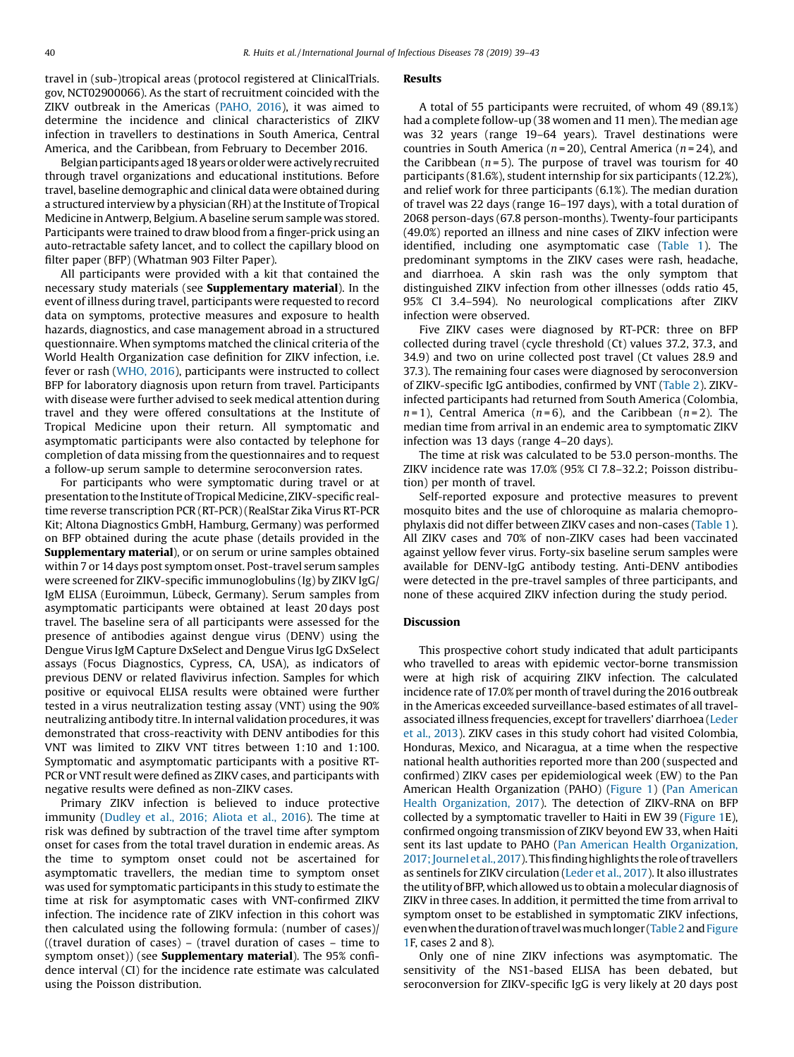travel in (sub-)tropical areas (protocol registered at ClinicalTrials. gov, NCT02900066). As the start of recruitment coincided with the ZIKV outbreak in the Americas ([PAHO,](#page-4-0) 2016), it was aimed to determine the incidence and clinical characteristics of ZIKV infection in travellers to destinations in South America, Central America, and the Caribbean, from February to December 2016.

Belgian participants aged 18 years or older were actively recruited through travel organizations and educational institutions. Before travel, baseline demographic and clinical data were obtained during a structured interview by a physician (RH) at the Institute of Tropical Medicine in Antwerp, Belgium.A baseline serum sample was stored. Participants were trained to draw blood from a finger-prick using an auto-retractable safety lancet, and to collect the capillary blood on filter paper (BFP) (Whatman 903 Filter Paper).

All participants were provided with a kit that contained the necessary study materials (see Supplementary material). In the event of illness during travel, participants were requested to record data on symptoms, protective measures and exposure to health hazards, diagnostics, and case management abroad in a structured questionnaire. When symptoms matched the clinical criteria of the World Health Organization case definition for ZIKV infection, i.e. fever or rash ([WHO,](#page-4-0) 2016), participants were instructed to collect BFP for laboratory diagnosis upon return from travel. Participants with disease were further advised to seek medical attention during travel and they were offered consultations at the Institute of Tropical Medicine upon their return. All symptomatic and asymptomatic participants were also contacted by telephone for completion of data missing from the questionnaires and to request a follow-up serum sample to determine seroconversion rates.

For participants who were symptomatic during travel or at presentation to the Institute of Tropical Medicine, ZIKV-specific realtime reverse transcription PCR (RT-PCR)(RealStar Zika Virus RT-PCR Kit; Altona Diagnostics GmbH, Hamburg, Germany) was performed on BFP obtained during the acute phase (details provided in the Supplementary material), or on serum or urine samples obtained within 7 or 14 days post symptom onset. Post-travel serum samples were screened for ZIKV-specific immunoglobulins (Ig) by ZIKV IgG/ IgM ELISA (Euroimmun, Lübeck, Germany). Serum samples from asymptomatic participants were obtained at least 20 days post travel. The baseline sera of all participants were assessed for the presence of antibodies against dengue virus (DENV) using the Dengue Virus IgM Capture DxSelect and Dengue Virus IgG DxSelect assays (Focus Diagnostics, Cypress, CA, USA), as indicators of previous DENV or related flavivirus infection. Samples for which positive or equivocal ELISA results were obtained were further tested in a virus neutralization testing assay (VNT) using the 90% neutralizing antibody titre. In internal validation procedures, it was demonstrated that cross-reactivity with DENV antibodies for this VNT was limited to ZIKV VNT titres between 1:10 and 1:100. Symptomatic and asymptomatic participants with a positive RT-PCR or VNT result were defined as ZIKV cases, and participants with negative results were defined as non-ZIKV cases.

Primary ZIKV infection is believed to induce protective immunity [\(Dudley](#page-4-0) et al., 2016; Aliota et al., 2016). The time at risk was defined by subtraction of the travel time after symptom onset for cases from the total travel duration in endemic areas. As the time to symptom onset could not be ascertained for asymptomatic travellers, the median time to symptom onset was used for symptomatic participants in this study to estimate the time at risk for asymptomatic cases with VNT-confirmed ZIKV infection. The incidence rate of ZIKV infection in this cohort was then calculated using the following formula: (number of cases)/ ((travel duration of cases) – (travel duration of cases – time to symptom onset)) (see **Supplementary material**). The 95% confidence interval (CI) for the incidence rate estimate was calculated using the Poisson distribution.

### Results

A total of 55 participants were recruited, of whom 49 (89.1%) had a complete follow-up (38 women and 11 men). The median age was 32 years (range 19–64 years). Travel destinations were countries in South America ( $n = 20$ ), Central America ( $n = 24$ ), and the Caribbean  $(n=5)$ . The purpose of travel was tourism for 40 participants (81.6%), student internship for six participants (12.2%), and relief work for three participants (6.1%). The median duration of travel was 22 days (range 16–197 days), with a total duration of 2068 person-days (67.8 person-months). Twenty-four participants (49.0%) reported an illness and nine cases of ZIKV infection were identified, including one asymptomatic case ([Table](#page-2-0) 1). The predominant symptoms in the ZIKV cases were rash, headache, and diarrhoea. A skin rash was the only symptom that distinguished ZIKV infection from other illnesses (odds ratio 45, 95% CI 3.4–594). No neurological complications after ZIKV infection were observed.

Five ZIKV cases were diagnosed by RT-PCR: three on BFP collected during travel (cycle threshold (Ct) values 37.2, 37.3, and 34.9) and two on urine collected post travel (Ct values 28.9 and 37.3). The remaining four cases were diagnosed by seroconversion of ZIKV-specific IgG antibodies, confirmed by VNT ([Table](#page-2-0) 2). ZIKVinfected participants had returned from South America (Colombia,  $n=1$ ), Central America ( $n=6$ ), and the Caribbean ( $n=2$ ). The median time from arrival in an endemic area to symptomatic ZIKV infection was 13 days (range 4–20 days).

The time at risk was calculated to be 53.0 person-months. The ZIKV incidence rate was 17.0% (95% CI 7.8–32.2; Poisson distribution) per month of travel.

Self-reported exposure and protective measures to prevent mosquito bites and the use of chloroquine as malaria chemoprophylaxis did not differ between ZIKV cases and non-cases ([Table](#page-2-0) 1). All ZIKV cases and 70% of non-ZIKV cases had been vaccinated against yellow fever virus. Forty-six baseline serum samples were available for DENV-IgG antibody testing. Anti-DENV antibodies were detected in the pre-travel samples of three participants, and none of these acquired ZIKV infection during the study period.

## Discussion

This prospective cohort study indicated that adult participants who travelled to areas with epidemic vector-borne transmission were at high risk of acquiring ZIKV infection. The calculated incidence rate of 17.0% per month of travel during the 2016 outbreak in the Americas exceeded surveillance-based estimates of all travel-associated illness frequencies, except for travellers' diarrhoea ([Leder](#page-4-0) et al., [2013](#page-4-0)). ZIKV cases in this study cohort had visited Colombia, Honduras, Mexico, and Nicaragua, at a time when the respective national health authorities reported more than 200 (suspected and confirmed) ZIKV cases per epidemiological week (EW) to the Pan American Health Organization (PAHO) [\(Figure](#page-3-0) 1) (Pan [American](#page-4-0) Health [Organization,](#page-4-0) 2017). The detection of ZIKV-RNA on BFP collected by a symptomatic traveller to Haiti in EW 39 [\(Figure](#page-3-0) 1E), confirmed ongoing transmission of ZIKV beyond EW 33, when Haiti sent its last update to PAHO (Pan American Health [Organization,](#page-4-0) 2017; Journel et al., 2017). This finding highlights the role of travellers as sentinels for ZIKV circulation [\(Leder](#page-4-0) et al., 2017). It also illustrates the utility of BFP, which allowed us to obtain a molecular diagnosis of ZIKV in three cases. In addition, it permitted the time from arrival to symptom onset to be established in symptomatic ZIKV infections, even when the duration of travel was much longer [\(Table 2](#page-2-0) and [Figure](#page-3-0) [1](#page-3-0)F, cases 2 and 8).

Only one of nine ZIKV infections was asymptomatic. The sensitivity of the NS1-based ELISA has been debated, but seroconversion for ZIKV-specific IgG is very likely at 20 days post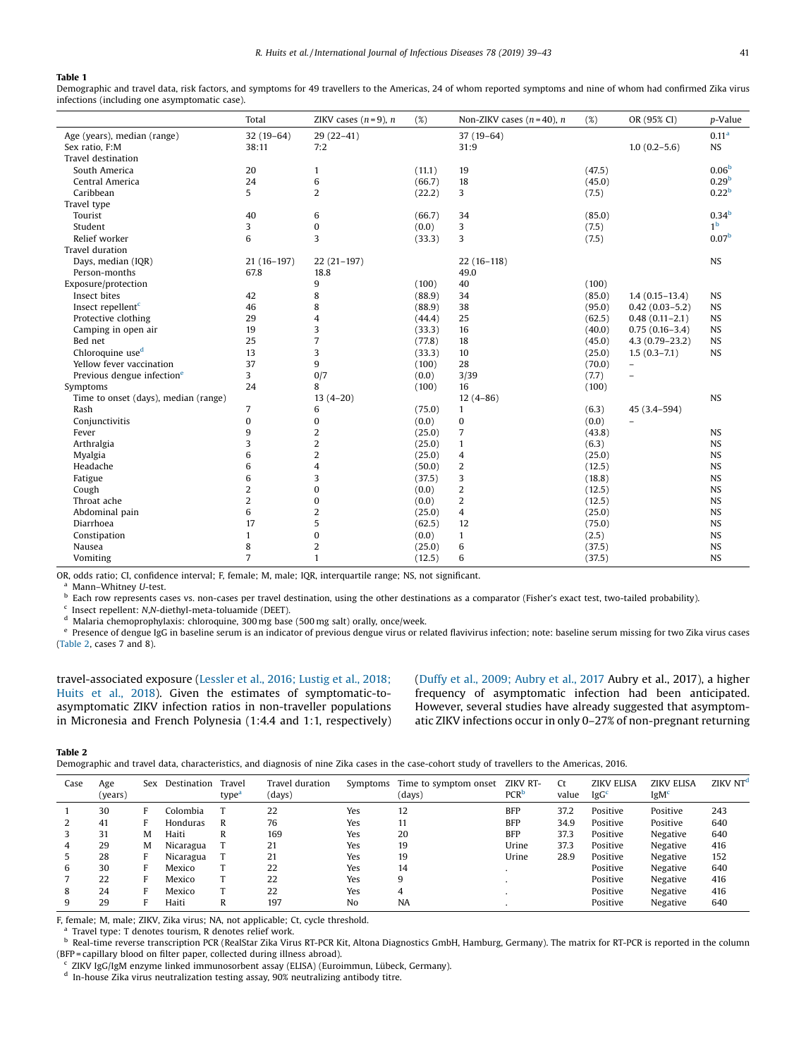## <span id="page-2-0"></span>Table 1

Demographic and travel data, risk factors, and symptoms for 49 travellers to the Americas, 24 of whom reported symptoms and nine of whom had confirmed Zika virus infections (including one asymptomatic case).

|                                        | Total            | ZIKV cases $(n=9)$ , n | (%)    | Non-ZIKV cases $(n=40)$ , n | (%)    | OR (95% CI)              | p-Value           |
|----------------------------------------|------------------|------------------------|--------|-----------------------------|--------|--------------------------|-------------------|
| Age (years), median (range)            | $32(19-64)$      | $29(22-41)$            |        | $37(19-64)$                 |        |                          | 0.11 <sup>a</sup> |
| Sex ratio, F:M                         | 38:11            | 7:2                    |        | 31:9                        |        | $1.0(0.2-5.6)$           | <b>NS</b>         |
| Travel destination                     |                  |                        |        |                             |        |                          |                   |
| South America                          | 20               | 1                      | (11.1) | 19                          | (47.5) |                          | 0.06 <sup>b</sup> |
| Central America                        | 24               | 6                      | (66.7) | 18                          | (45.0) |                          | 0.29 <sup>b</sup> |
| Caribbean                              | 5                | $\overline{2}$         | (22.2) | 3                           | (7.5)  |                          | 0.22 <sup>b</sup> |
| Travel type                            |                  |                        |        |                             |        |                          |                   |
| Tourist                                | 40               | 6                      | (66.7) | 34                          | (85.0) |                          | 0.34 <sup>b</sup> |
| Student                                | 3                | $\pmb{0}$              | (0.0)  | 3                           | (7.5)  |                          | 1 <sup>b</sup>    |
| Relief worker                          | 6                | 3                      | (33.3) | 3                           | (7.5)  |                          | 0.07 <sup>b</sup> |
| Travel duration                        |                  |                        |        |                             |        |                          |                   |
| Days, median (IQR)                     | $21(16-197)$     | $22(21-197)$           |        | $22(16-118)$                |        |                          | <b>NS</b>         |
| Person-months                          | 67.8             | 18.8                   |        | 49.0                        |        |                          |                   |
| Exposure/protection                    |                  | 9                      | (100)  | 40                          | (100)  |                          |                   |
| Insect bites                           | 42               | 8                      | (88.9) | 34                          | (85.0) | $1.4(0.15 - 13.4)$       | <b>NS</b>         |
| Insect repellent <sup>c</sup>          | 46               | 8                      | (88.9) | 38                          | (95.0) | $0.42(0.03 - 5.2)$       | <b>NS</b>         |
| Protective clothing                    | 29               | 4                      | (44.4) | 25                          | (62.5) | $0.48(0.11 - 2.1)$       | <b>NS</b>         |
| Camping in open air                    | 19               | 3                      | (33.3) | 16                          | (40.0) | $0.75(0.16-3.4)$         | <b>NS</b>         |
| Bed net                                | 25               | $\overline{7}$         | (77.8) | 18                          | (45.0) | $4.3(0.79-23.2)$         | <b>NS</b>         |
| Chloroquine use <sup>d</sup>           | 13               | 3                      | (33.3) | 10                          | (25.0) | $1.5(0.3 - 7.1)$         | <b>NS</b>         |
| Yellow fever vaccination               | 37               | 9                      | (100)  | 28                          | (70.0) | $\overline{\phantom{0}}$ |                   |
| Previous dengue infection <sup>e</sup> | 3                | 0/7                    | (0.0)  | 3/39                        | (7.7)  | $\overline{a}$           |                   |
| Symptoms                               | 24               | 8                      | (100)  | 16                          | (100)  |                          |                   |
| Time to onset (days), median (range)   |                  | $13(4-20)$             |        | $12(4-86)$                  |        |                          | <b>NS</b>         |
| Rash                                   | $\overline{7}$   | 6                      | (75.0) | $\mathbf{1}$                | (6.3)  | 45 (3.4-594)             |                   |
| Conjunctivitis                         | $\boldsymbol{0}$ | 0                      | (0.0)  | $\bf{0}$                    | (0.0)  | $\equiv$                 |                   |
| Fever                                  | 9                | 2                      | (25.0) | $\sqrt{ }$                  | (43.8) |                          | <b>NS</b>         |
| Arthralgia                             | 3                | $\overline{c}$         | (25.0) | $\mathbf{1}$                | (6.3)  |                          | <b>NS</b>         |
| Myalgia                                | 6                | $\overline{c}$         | (25.0) | $\overline{4}$              | (25.0) |                          | <b>NS</b>         |
| Headache                               | 6                | 4                      | (50.0) | $\overline{2}$              | (12.5) |                          | <b>NS</b>         |
| Fatigue                                | 6                | 3                      | (37.5) | 3                           | (18.8) |                          | <b>NS</b>         |
| Cough                                  | 2                | 0                      | (0.0)  | 2                           | (12.5) |                          | <b>NS</b>         |
| Throat ache                            | 2                | 0                      | (0.0)  | 2                           | (12.5) |                          | <b>NS</b>         |
| Abdominal pain                         | 6                | 2                      | (25.0) | 4                           | (25.0) |                          | <b>NS</b>         |
| Diarrhoea                              | 17               | 5                      | (62.5) | 12                          | (75.0) |                          | <b>NS</b>         |
| Constipation                           | $\mathbf{1}$     | $\bf{0}$               | (0.0)  | $\mathbf{1}$                | (2.5)  |                          | <b>NS</b>         |
| Nausea                                 | 8                | $\overline{c}$         | (25.0) | 6                           | (37.5) |                          | <b>NS</b>         |
| Vomiting                               | $\overline{7}$   | $\mathbf{1}$           | (12.5) | 6                           | (37.5) |                          | <b>NS</b>         |

OR, odds ratio; CI, confidence interval; F, female; M, male; IQR, interquartile range; NS, not significant.

Mann–Whitney U-test.

<sup>b</sup> Each row represents cases vs. non-cases per travel destination, using the other destinations as a comparator (Fisher's exact test, two-tailed probability).

<sup>c</sup> Insect repellent: N,N-diethyl-meta-toluamide (DEET).<br><sup>d</sup> Malaria chemonrophylaxis: chloroquine 300 mg base

Malaria chemoprophylaxis: chloroquine, 300 mg base (500 mg salt) orally, once/week.

<sup>e</sup> Presence of dengue IgG in baseline serum is an indicator of previous dengue virus or related flavivirus infection; note: baseline serum missing for two Zika virus cases (Table 2, cases 7 and 8).

travel-associated exposure ([Lessler](#page-4-0) et al., 2016; Lustig et al., 2018; [Huits](#page-4-0) et al., 2018). Given the estimates of symptomatic-toasymptomatic ZIKV infection ratios in non-traveller populations in Micronesia and French Polynesia (1:4.4 and 1:1, respectively) (Duffy et al., 2009; [Aubry](#page-4-0) et al., 2017 Aubry et al., 2017), a higher frequency of asymptomatic infection had been anticipated. However, several studies have already suggested that asymptomatic ZIKV infections occur in only 0–27% of non-pregnant returning

#### Table 2

Demographic and travel data, characteristics, and diagnosis of nine Zika cases in the case-cohort study of travellers to the Americas, 2016.

| Case | Age<br>(vears) | <b>Sex</b> | Destination | Travel<br>type <sup>a</sup> | Travel duration<br>(days) | Symptoms | Time to symptom onset<br>(days) | <b>ZIKV RT-</b><br><b>PCR</b> <sup>b</sup> | Ct<br>value | <b>ZIKV ELISA</b><br>Ig <sub>G</sub> c | <b>ZIKV ELISA</b><br>$\text{IgM}^c$ | ZIKV NT <sup>d</sup> |
|------|----------------|------------|-------------|-----------------------------|---------------------------|----------|---------------------------------|--------------------------------------------|-------------|----------------------------------------|-------------------------------------|----------------------|
|      | 30             | г          | Colombia    |                             | 22                        | Yes      | 12                              | <b>BFP</b>                                 | 37.2        | Positive                               | Positive                            | 243                  |
|      | 41             | г          | Honduras    | R                           | 76                        | Yes      | 11                              | <b>BFP</b>                                 | 34.9        | Positive                               | Positive                            | 640                  |
|      | 31             | М          | Haiti       | R                           | 169                       | Yes      | 20                              | <b>BFP</b>                                 | 37.3        | Positive                               | Negative                            | 640                  |
|      | 29             | M          | Nicaragua   |                             | 21                        | Yes      | 19                              | Urine                                      | 37.3        | Positive                               | Negative                            | 416                  |
|      | 28             |            | Nicaragua   |                             | 21                        | Yes      | 19                              | Urine                                      | 28.9        | Positive                               | Negative                            | 152                  |
|      | 30             |            | Mexico      |                             | 22                        | Yes      | 14                              |                                            |             | Positive                               | Negative                            | 640                  |
|      | 22             |            | Mexico      |                             | 22                        | Yes      | 9                               |                                            |             | Positive                               | Negative                            | 416                  |
| 8    | 24             |            | Mexico      |                             | 22                        | Yes      |                                 |                                            |             | Positive                               | Negative                            | 416                  |
|      | 29             |            | Haiti       | R                           | 197                       | No       | <b>NA</b>                       |                                            |             | Positive                               | Negative                            | 640                  |

F, female; M, male; ZIKV, Zika virus; NA, not applicable; Ct, cycle threshold.

Travel type: T denotes tourism, R denotes relief work.

<sup>b</sup> Real-time reverse transcription PCR (RealStar Zika Virus RT-PCR Kit, Altona Diagnostics GmbH, Hamburg, Germany). The matrix for RT-PCR is reported in the column (BFP = capillary blood on filter paper, collected during illness abroad).

<sup>c</sup> ZIKV IgG/IgM enzyme linked immunosorbent assay (ELISA) (Euroimmun, Lübeck, Germany).

<sup>d</sup> In-house Zika virus neutralization testing assay, 90% neutralizing antibody titre.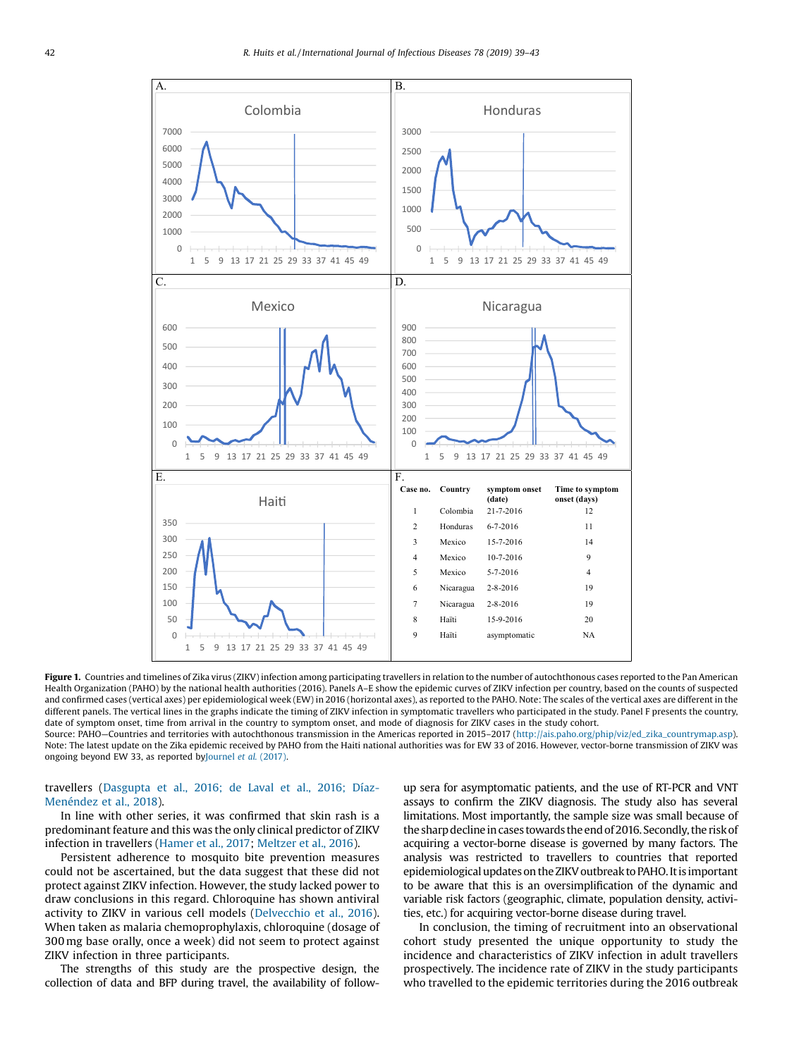<span id="page-3-0"></span>

Figure 1. Countries and timelines of Zika virus (ZIKV) infection among participating travellers in relation to the number of autochthonous cases reported to the Pan American Health Organization (PAHO) by the national health authorities (2016). Panels A–E show the epidemic curves of ZIKV infection per country, based on the counts of suspected and confirmed cases (vertical axes) per epidemiological week (EW) in 2016 (horizontal axes), as reported to the PAHO. Note: The scales of the vertical axes are different in the different panels. The vertical lines in the graphs indicate the timing of ZIKV infection in symptomatic travellers who participated in the study. Panel F presents the country, date of symptom onset, time from arrival in the country to symptom onset, and mode of diagnosis for ZIKV cases in the study cohort.

Source: PAHO-Countries and territories with autochthonous transmission in the Americas reported in 2015-2017 ([http://ais.paho.org/phip/viz/ed\\_zika\\_countrymap.asp\)](http://ais.paho.org/phip/viz/ed_zika_countrymap.asp). Note: The latest update on the Zika epidemic received by PAHO from the Haiti national authorities was for EW 33 of 2016. However, vector-borne transmission of ZIKV was ongoing beyond EW 33, as reported b[yJournel](#page-4-0) et al. (2017).

# travellers [\(Dasgupta](#page-4-0) et al., 2016; de Laval et al., 2016; Díaz-[Menéndez](#page-4-0) et al., 2018).

In line with other series, it was confirmed that skin rash is a predominant feature and this was the only clinical predictor of ZIKV infection in travellers ([Hamer](#page-4-0) et al., 2017; [Meltzer](#page-4-0) et al., 2016).

Persistent adherence to mosquito bite prevention measures could not be ascertained, but the data suggest that these did not protect against ZIKV infection. However, the study lacked power to draw conclusions in this regard. Chloroquine has shown antiviral activity to ZIKV in various cell models [\(Delvecchio](#page-4-0) et al., 2016). When taken as malaria chemoprophylaxis, chloroquine (dosage of 300 mg base orally, once a week) did not seem to protect against ZIKV infection in three participants.

The strengths of this study are the prospective design, the collection of data and BFP during travel, the availability of followup sera for asymptomatic patients, and the use of RT-PCR and VNT assays to confirm the ZIKV diagnosis. The study also has several limitations. Most importantly, the sample size was small because of the sharp decline in cases towards the end of 2016. Secondly, the risk of acquiring a vector-borne disease is governed by many factors. The analysis was restricted to travellers to countries that reported epidemiological updates on the ZIKV outbreak to PAHO. It is important to be aware that this is an oversimplification of the dynamic and variable risk factors (geographic, climate, population density, activities, etc.) for acquiring vector-borne disease during travel.

In conclusion, the timing of recruitment into an observational cohort study presented the unique opportunity to study the incidence and characteristics of ZIKV infection in adult travellers prospectively. The incidence rate of ZIKV in the study participants who travelled to the epidemic territories during the 2016 outbreak